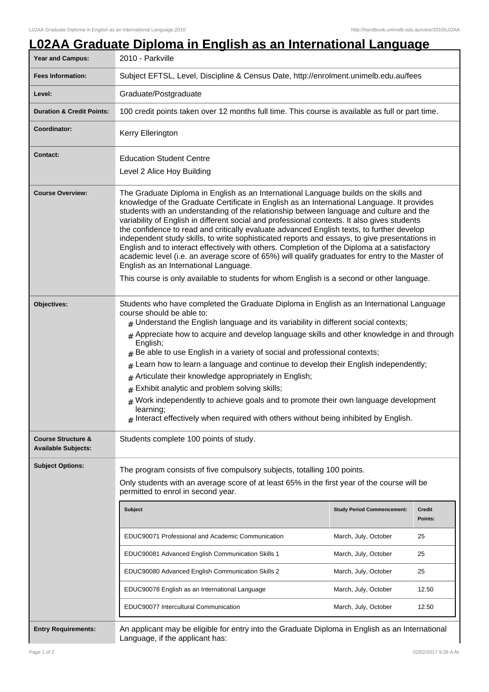|                                                             |                                                                                                                                                                                                                                                                                                                                                                                                                                                                                                                                                                                                                                                                                                                                                                                                                                                                                                                       |                                   | <u>L02AA Graduate Diploma in English as an International Language</u><br>2010 - Parkville |  |  |
|-------------------------------------------------------------|-----------------------------------------------------------------------------------------------------------------------------------------------------------------------------------------------------------------------------------------------------------------------------------------------------------------------------------------------------------------------------------------------------------------------------------------------------------------------------------------------------------------------------------------------------------------------------------------------------------------------------------------------------------------------------------------------------------------------------------------------------------------------------------------------------------------------------------------------------------------------------------------------------------------------|-----------------------------------|-------------------------------------------------------------------------------------------|--|--|
| <b>Fees Information:</b>                                    | Subject EFTSL, Level, Discipline & Census Date, http://enrolment.unimelb.edu.au/fees                                                                                                                                                                                                                                                                                                                                                                                                                                                                                                                                                                                                                                                                                                                                                                                                                                  |                                   |                                                                                           |  |  |
| Level:                                                      | Graduate/Postgraduate                                                                                                                                                                                                                                                                                                                                                                                                                                                                                                                                                                                                                                                                                                                                                                                                                                                                                                 |                                   |                                                                                           |  |  |
| <b>Duration &amp; Credit Points:</b>                        | 100 credit points taken over 12 months full time. This course is available as full or part time.                                                                                                                                                                                                                                                                                                                                                                                                                                                                                                                                                                                                                                                                                                                                                                                                                      |                                   |                                                                                           |  |  |
| Coordinator:                                                | Kerry Ellerington                                                                                                                                                                                                                                                                                                                                                                                                                                                                                                                                                                                                                                                                                                                                                                                                                                                                                                     |                                   |                                                                                           |  |  |
| <b>Contact:</b>                                             | <b>Education Student Centre</b>                                                                                                                                                                                                                                                                                                                                                                                                                                                                                                                                                                                                                                                                                                                                                                                                                                                                                       |                                   |                                                                                           |  |  |
|                                                             | Level 2 Alice Hoy Building                                                                                                                                                                                                                                                                                                                                                                                                                                                                                                                                                                                                                                                                                                                                                                                                                                                                                            |                                   |                                                                                           |  |  |
| <b>Course Overview:</b>                                     | The Graduate Diploma in English as an International Language builds on the skills and<br>knowledge of the Graduate Certificate in English as an International Language. It provides<br>students with an understanding of the relationship between language and culture and the<br>variability of English in different social and professional contexts. It also gives students<br>the confidence to read and critically evaluate advanced English texts, to further develop<br>independent study skills, to write sophisticated reports and essays, to give presentations in<br>English and to interact effectively with others. Completion of the Diploma at a satisfactory<br>academic level (i.e. an average score of 65%) will qualify graduates for entry to the Master of<br>English as an International Language.<br>This course is only available to students for whom English is a second or other language. |                                   |                                                                                           |  |  |
| Objectives:                                                 | Students who have completed the Graduate Diploma in English as an International Language<br>course should be able to:<br>$*$ Understand the English language and its variability in different social contexts;                                                                                                                                                                                                                                                                                                                                                                                                                                                                                                                                                                                                                                                                                                        |                                   |                                                                                           |  |  |
|                                                             | $#$ Appreciate how to acquire and develop language skills and other knowledge in and through<br>English;<br>$#$ Be able to use English in a variety of social and professional contexts;                                                                                                                                                                                                                                                                                                                                                                                                                                                                                                                                                                                                                                                                                                                              |                                   |                                                                                           |  |  |
|                                                             | Learn how to learn a language and continue to develop their English independently;<br>#                                                                                                                                                                                                                                                                                                                                                                                                                                                                                                                                                                                                                                                                                                                                                                                                                               |                                   |                                                                                           |  |  |
|                                                             | Articulate their knowledge appropriately in English;<br>#<br>Exhibit analytic and problem solving skills;<br>$\pm$                                                                                                                                                                                                                                                                                                                                                                                                                                                                                                                                                                                                                                                                                                                                                                                                    |                                   |                                                                                           |  |  |
|                                                             | $#$ Work independently to achieve goals and to promote their own language development<br>learning;<br>$#$ Interact effectively when required with others without being inhibited by English.                                                                                                                                                                                                                                                                                                                                                                                                                                                                                                                                                                                                                                                                                                                          |                                   |                                                                                           |  |  |
| <b>Course Structure &amp;</b><br><b>Available Subjects:</b> | Students complete 100 points of study.                                                                                                                                                                                                                                                                                                                                                                                                                                                                                                                                                                                                                                                                                                                                                                                                                                                                                |                                   |                                                                                           |  |  |
| <b>Subject Options:</b>                                     | The program consists of five compulsory subjects, totalling 100 points.                                                                                                                                                                                                                                                                                                                                                                                                                                                                                                                                                                                                                                                                                                                                                                                                                                               |                                   |                                                                                           |  |  |
|                                                             | Only students with an average score of at least 65% in the first year of the course will be<br>permitted to enrol in second year.                                                                                                                                                                                                                                                                                                                                                                                                                                                                                                                                                                                                                                                                                                                                                                                     |                                   |                                                                                           |  |  |
|                                                             | <b>Subject</b>                                                                                                                                                                                                                                                                                                                                                                                                                                                                                                                                                                                                                                                                                                                                                                                                                                                                                                        | <b>Study Period Commencement:</b> | <b>Credit</b><br>Points:                                                                  |  |  |
|                                                             | EDUC90071 Professional and Academic Communication                                                                                                                                                                                                                                                                                                                                                                                                                                                                                                                                                                                                                                                                                                                                                                                                                                                                     | March, July, October              | 25                                                                                        |  |  |
|                                                             | EDUC90081 Advanced English Communication Skills 1                                                                                                                                                                                                                                                                                                                                                                                                                                                                                                                                                                                                                                                                                                                                                                                                                                                                     | March, July, October              | 25                                                                                        |  |  |
|                                                             | EDUC90080 Advanced English Communication Skills 2                                                                                                                                                                                                                                                                                                                                                                                                                                                                                                                                                                                                                                                                                                                                                                                                                                                                     | March, July, October              | 25                                                                                        |  |  |
|                                                             | EDUC90078 English as an International Language                                                                                                                                                                                                                                                                                                                                                                                                                                                                                                                                                                                                                                                                                                                                                                                                                                                                        | March, July, October              | 12.50                                                                                     |  |  |
|                                                             | EDUC90077 Intercultural Communication                                                                                                                                                                                                                                                                                                                                                                                                                                                                                                                                                                                                                                                                                                                                                                                                                                                                                 | March, July, October              | 12.50                                                                                     |  |  |

Language, if the applicant has: